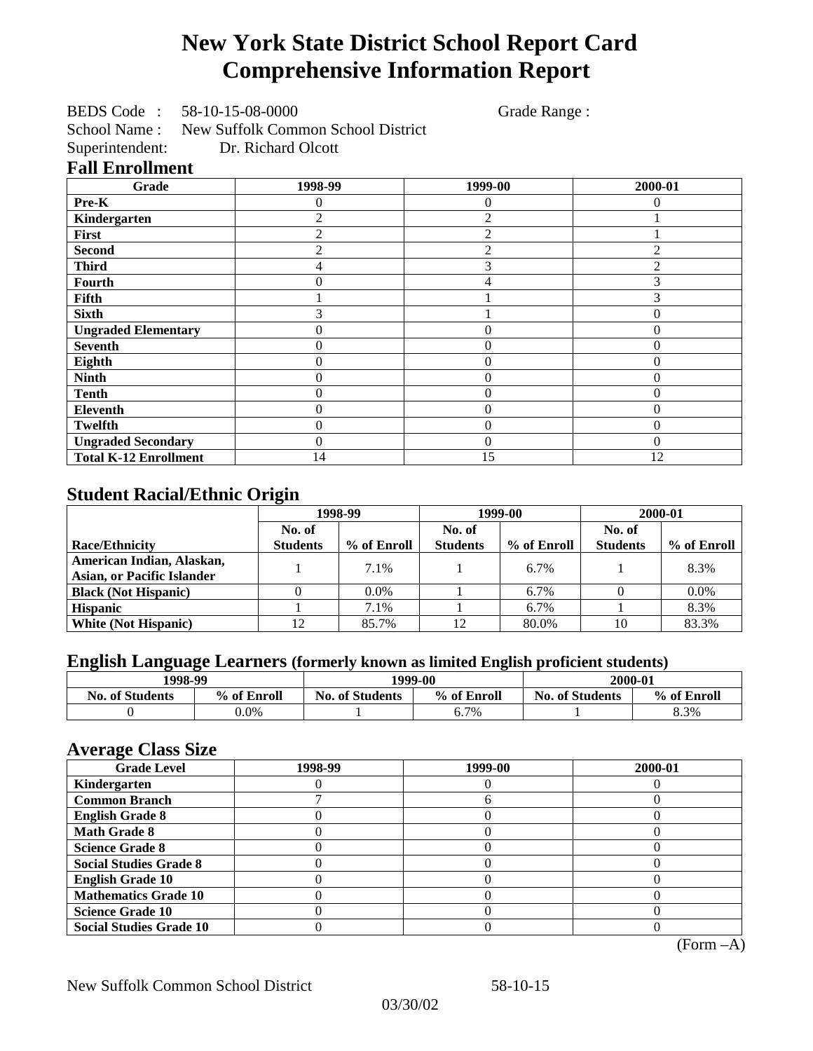# **New York State District School Report Card Comprehensive Information Report**

BEDS Code : 58-10-15-08-0000 Grade Range :

School Name : New Suffolk Common School District

Superintendent: Dr. Richard Olcott

|  | <b>Fall Enrollment</b> |  |
|--|------------------------|--|
|--|------------------------|--|

| Grade                        | 1998-99        | 1999-00          | 2000-01  |
|------------------------------|----------------|------------------|----------|
| Pre-K                        | 0              | $\left( \right)$ | 0        |
| Kindergarten                 | $\overline{c}$ | 2                |          |
| First                        | 2              | $\overline{2}$   |          |
| <b>Second</b>                | 2              | $\overline{2}$   |          |
| <b>Third</b>                 | 4              | 3                |          |
| Fourth                       | 0              |                  |          |
| Fifth                        |                |                  |          |
| <b>Sixth</b>                 | 3              |                  | $\Omega$ |
| <b>Ungraded Elementary</b>   | 0              | 0                | $\theta$ |
| <b>Seventh</b>               | 0              | $\theta$         | $\theta$ |
| Eighth                       | 0              | $\theta$         | $\theta$ |
| <b>Ninth</b>                 | 0              | $\overline{0}$   | $\Omega$ |
| <b>Tenth</b>                 | 0              | $\overline{0}$   | 0        |
| Eleventh                     | 0              | $\overline{0}$   | $\theta$ |
| <b>Twelfth</b>               | 0              | $\Omega$         | $\Omega$ |
| <b>Ungraded Secondary</b>    | 0              | $\theta$         | $\Omega$ |
| <b>Total K-12 Enrollment</b> | 14             | 15               | 12       |

## **Student Racial/Ethnic Origin**

|                                   | 1998-99         |             | 1999-00         |             | 2000-01         |             |
|-----------------------------------|-----------------|-------------|-----------------|-------------|-----------------|-------------|
|                                   | No. of          |             | No. of          |             | No. of          |             |
| <b>Race/Ethnicity</b>             | <b>Students</b> | % of Enroll | <b>Students</b> | % of Enroll | <b>Students</b> | % of Enroll |
| American Indian, Alaskan,         |                 | 7.1%        |                 | $6.7\%$     |                 | 8.3%        |
| <b>Asian, or Pacific Islander</b> |                 |             |                 |             |                 |             |
| <b>Black (Not Hispanic)</b>       |                 | $0.0\%$     |                 | 6.7%        |                 | $0.0\%$     |
| <b>Hispanic</b>                   |                 | 7.1%        |                 | 6.7%        |                 | 8.3%        |
| <b>White (Not Hispanic)</b>       | 12              | 85.7%       | 12              | 80.0%       | 10              | 83.3%       |

## **English Language Learners (formerly known as limited English proficient students)**

| 1998-99                |             | 1999-00                               |      | 2000-01                |             |  |
|------------------------|-------------|---------------------------------------|------|------------------------|-------------|--|
| <b>No. of Students</b> | % of Enroll | <b>No. of Students</b><br>% of Enroll |      | <b>No. of Students</b> | % of Enroll |  |
|                        | $0.0\%$     |                                       | 6.7% |                        | 8.3%        |  |

### **Average Class Size**

| $\overline{\phantom{a}}$<br><b>Grade Level</b> | 1998-99 | 1999-00 | 2000-01 |
|------------------------------------------------|---------|---------|---------|
| Kindergarten                                   |         |         |         |
| <b>Common Branch</b>                           |         |         |         |
| <b>English Grade 8</b>                         |         |         |         |
| <b>Math Grade 8</b>                            |         |         |         |
| <b>Science Grade 8</b>                         |         |         |         |
| <b>Social Studies Grade 8</b>                  |         |         |         |
| <b>English Grade 10</b>                        |         |         |         |
| <b>Mathematics Grade 10</b>                    |         |         |         |
| <b>Science Grade 10</b>                        |         |         |         |
| <b>Social Studies Grade 10</b>                 |         |         |         |

(Form –A)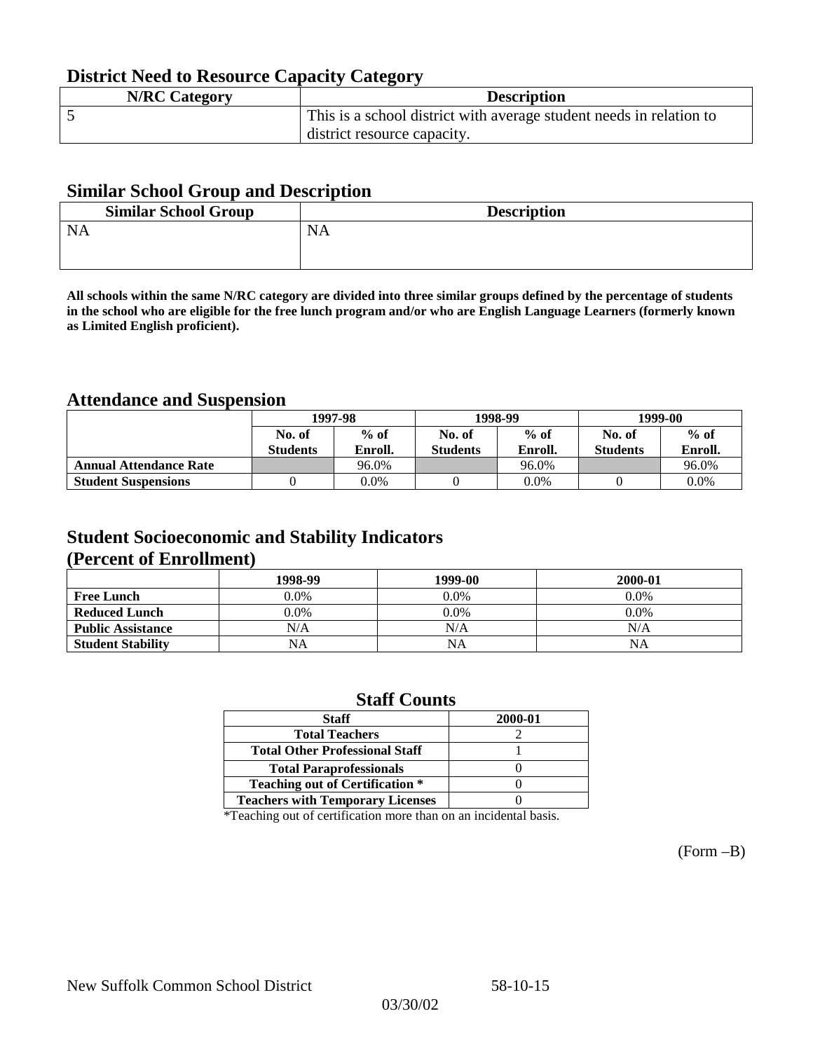## **District Need to Resource Capacity Category**

| <b>N/RC Category</b> | <b>Description</b>                                                  |
|----------------------|---------------------------------------------------------------------|
|                      | This is a school district with average student needs in relation to |
|                      | district resource capacity.                                         |

### **Similar School Group and Description**

| <b>Description</b> |
|--------------------|
|                    |
|                    |

**All schools within the same N/RC category are divided into three similar groups defined by the percentage of students in the school who are eligible for the free lunch program and/or who are English Language Learners (formerly known as Limited English proficient).**

## **Attendance and Suspension**

|                               | 1997-98         |         |                 | 1998-99 | 1999-00         |         |
|-------------------------------|-----------------|---------|-----------------|---------|-----------------|---------|
|                               | No. of          | $%$ of  | No. of          | $%$ of  | No. of          | $%$ of  |
|                               | <b>Students</b> | Enroll. | <b>Students</b> | Enroll. | <b>Students</b> | Enroll. |
| <b>Annual Attendance Rate</b> |                 | 96.0%   |                 | 96.0%   |                 | 96.0%   |
| <b>Student Suspensions</b>    |                 | 0.0%    |                 | $0.0\%$ |                 | 0.0%    |

### **Student Socioeconomic and Stability Indicators (Percent of Enrollment)**

|                          | 1998-99 | 1999-00   | 2000-01 |
|--------------------------|---------|-----------|---------|
| <b>Free Lunch</b>        | $0.0\%$ | $0.0\%$   | $0.0\%$ |
| <b>Reduced Lunch</b>     | 0.0%    | $0.0\%$   | $0.0\%$ |
| <b>Public Assistance</b> | N/A     | N/A       | N/A     |
| <b>Student Stability</b> | NA      | <b>NA</b> | NA      |

### **Staff Counts**

| Staff                                   | 2000-01 |
|-----------------------------------------|---------|
| <b>Total Teachers</b>                   |         |
| <b>Total Other Professional Staff</b>   |         |
| <b>Total Paraprofessionals</b>          |         |
| <b>Teaching out of Certification *</b>  |         |
| <b>Teachers with Temporary Licenses</b> |         |

\*Teaching out of certification more than on an incidental basis.

(Form –B)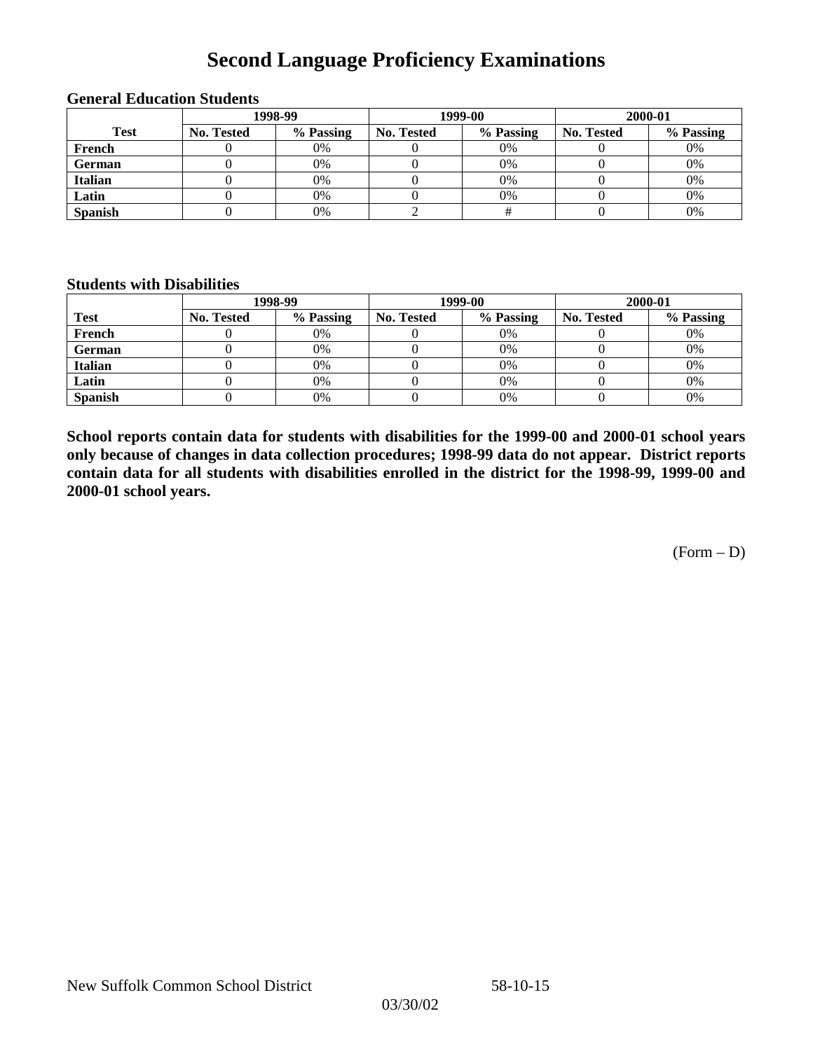# **Second Language Proficiency Examinations**

|                |            | 1998-99   |                   | 1999-00   | 2000-01    |           |
|----------------|------------|-----------|-------------------|-----------|------------|-----------|
| <b>Test</b>    | No. Tested | % Passing | <b>No. Tested</b> | % Passing | No. Tested | % Passing |
| French         |            | 0%        |                   | 0%        |            | 0%        |
| <b>German</b>  |            | 0%        |                   | 0%        |            | 0%        |
| <b>Italian</b> |            | 0%        |                   | 0%        |            | 0%        |
| Latin          |            | 0%        |                   | 0%        |            | 0%        |
| <b>Spanish</b> |            | 0%        |                   |           |            | 0%        |

### **General Education Students**

### **Students with Disabilities**

|                | 1998-99    |           | 1999-00           |           | 2000-01           |           |
|----------------|------------|-----------|-------------------|-----------|-------------------|-----------|
| <b>Test</b>    | No. Tested | % Passing | <b>No. Tested</b> | % Passing | <b>No. Tested</b> | % Passing |
| French         |            | $0\%$     |                   | 0%        |                   | 0%        |
| German         |            | 0%        |                   | 0%        |                   | 0%        |
| <b>Italian</b> |            | 0%        |                   | 0%        |                   | 0%        |
| Latin          |            | 0%        |                   | 0%        |                   | 0%        |
| <b>Spanish</b> |            | 0%        |                   | 0%        |                   | 0%        |

**School reports contain data for students with disabilities for the 1999-00 and 2000-01 school years only because of changes in data collection procedures; 1998-99 data do not appear. District reports contain data for all students with disabilities enrolled in the district for the 1998-99, 1999-00 and 2000-01 school years.**

(Form – D)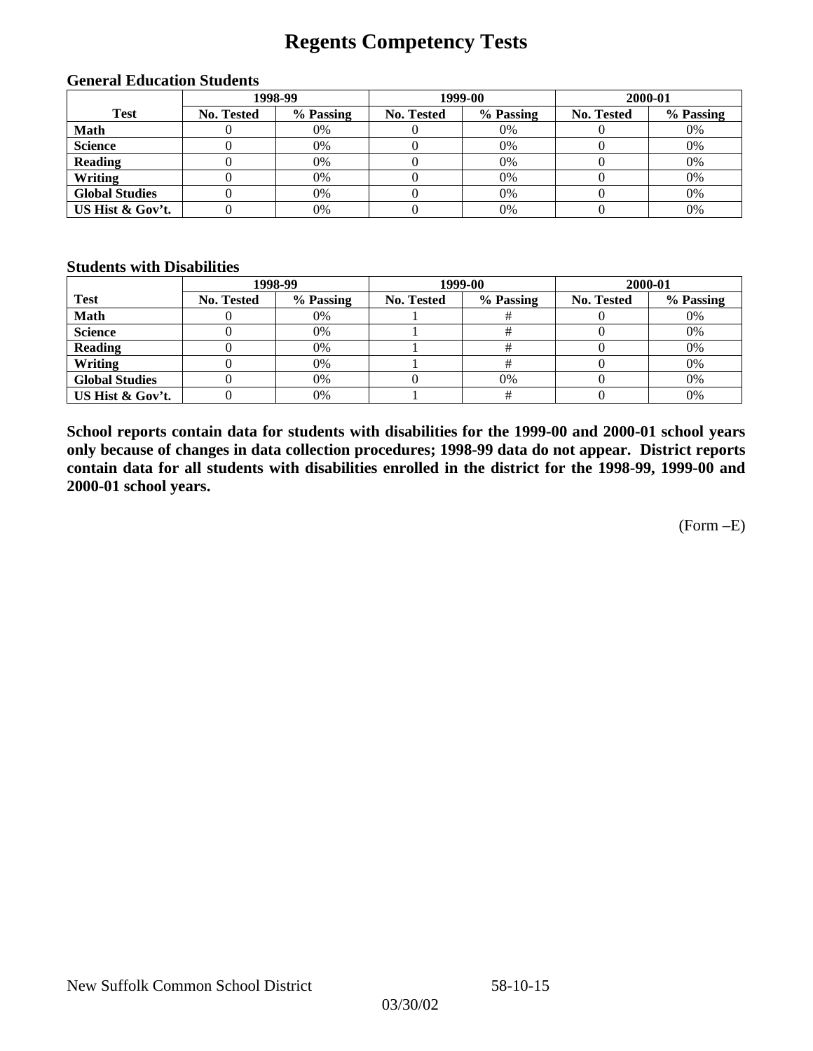# **Regents Competency Tests**

|                       |            | 1998-99   |            | 1999-00<br>2000-01 |            |           |
|-----------------------|------------|-----------|------------|--------------------|------------|-----------|
| <b>Test</b>           | No. Tested | % Passing | No. Tested | % Passing          | No. Tested | % Passing |
| <b>Math</b>           |            | 0%        |            | 0%                 |            | 0%        |
| <b>Science</b>        |            | 0%        |            | 0%                 |            | 0%        |
| <b>Reading</b>        |            | $0\%$     |            | 0%                 |            | 0%        |
| Writing               |            | 0%        |            | 0%                 |            | 0%        |
| <b>Global Studies</b> |            | 0%        |            | 0%                 |            | 0%        |
| US Hist & Gov't.      |            | 0%        |            | $0\%$              |            | 0%        |

#### **General Education Students**

### **Students with Disabilities**

|                       |                   | 1998-99   | 1999-00    |           | 2000-01           |           |
|-----------------------|-------------------|-----------|------------|-----------|-------------------|-----------|
| <b>Test</b>           | <b>No. Tested</b> | % Passing | No. Tested | % Passing | <b>No. Tested</b> | % Passing |
| <b>Math</b>           |                   | 0%        |            |           |                   | 0%        |
| <b>Science</b>        |                   | 0%        |            |           |                   | 0%        |
| <b>Reading</b>        |                   | 0%        |            |           |                   | 0%        |
| Writing               |                   | 0%        |            |           |                   | 0%        |
| <b>Global Studies</b> |                   | 0%        |            | 0%        |                   | 0%        |
| US Hist & Gov't.      |                   | 0%        |            |           |                   | 0%        |

**School reports contain data for students with disabilities for the 1999-00 and 2000-01 school years only because of changes in data collection procedures; 1998-99 data do not appear. District reports contain data for all students with disabilities enrolled in the district for the 1998-99, 1999-00 and 2000-01 school years.**

(Form –E)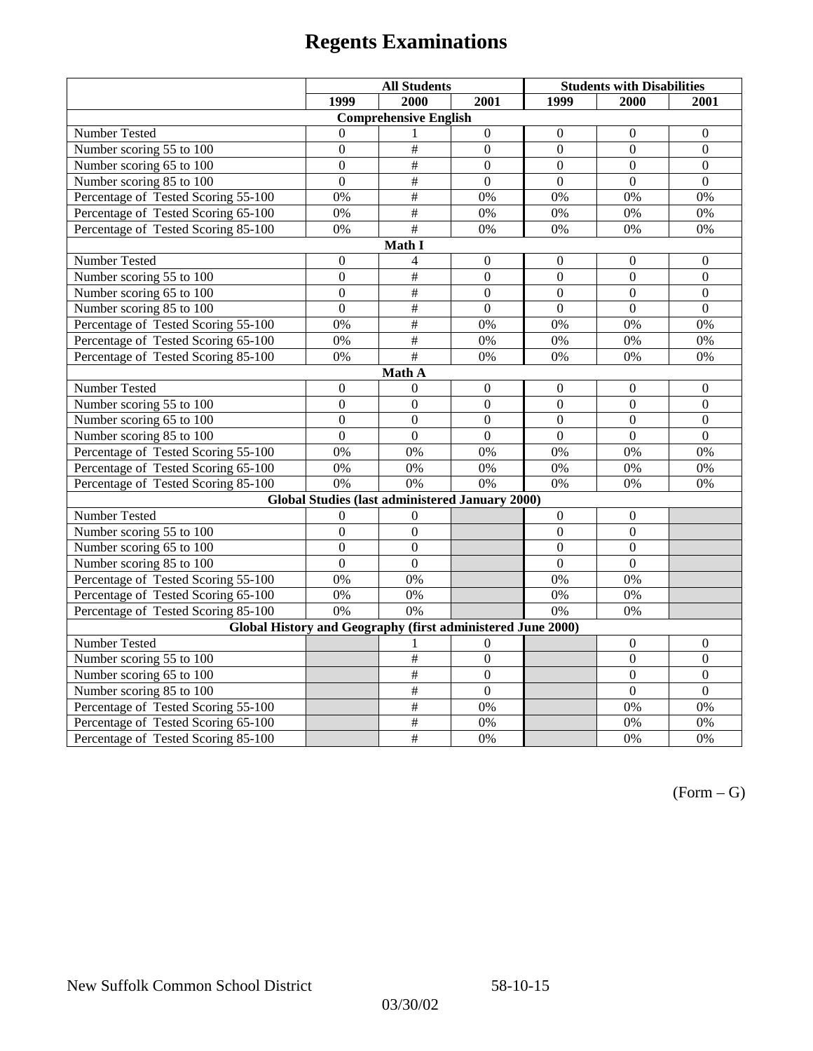|                                                             | <b>All Students</b> |                                                 |                  | <b>Students with Disabilities</b> |                  |                  |  |  |
|-------------------------------------------------------------|---------------------|-------------------------------------------------|------------------|-----------------------------------|------------------|------------------|--|--|
|                                                             | 1999                | 2000                                            | 2001             | 1999                              | 2000             | 2001             |  |  |
|                                                             |                     | <b>Comprehensive English</b>                    |                  |                                   |                  |                  |  |  |
| Number Tested                                               | $\theta$            |                                                 | $\mathbf{0}$     | $\boldsymbol{0}$                  | $\mathbf{0}$     | $\mathbf{0}$     |  |  |
| Number scoring 55 to 100                                    | $\Omega$            | $\#$                                            | $\overline{0}$   | $\Omega$                          | $\Omega$         | $\Omega$         |  |  |
| Number scoring 65 to 100                                    | $\overline{0}$      | $\overline{\ddot{}}$                            | $\mathbf{0}$     | $\mathbf{0}$                      | $\mathbf{0}$     | $\mathbf{0}$     |  |  |
| Number scoring 85 to 100                                    | $\overline{0}$      | #                                               | $\overline{0}$   | $\overline{0}$                    | $\overline{0}$   | $\overline{0}$   |  |  |
| Percentage of Tested Scoring 55-100                         | 0%                  | $\#$                                            | 0%               | 0%                                | 0%               | 0%               |  |  |
| Percentage of Tested Scoring 65-100                         | 0%                  | $\#$                                            | 0%               | $0\%$                             | 0%               | 0%               |  |  |
| Percentage of Tested Scoring 85-100                         | 0%                  | $\overline{+}$                                  | 0%               | 0%                                | 0%               | 0%               |  |  |
|                                                             |                     | Math I                                          |                  |                                   |                  |                  |  |  |
| Number Tested                                               | $\boldsymbol{0}$    | 4                                               | $\boldsymbol{0}$ | $\overline{0}$                    | $\boldsymbol{0}$ | $\boldsymbol{0}$ |  |  |
| Number scoring 55 to 100                                    | $\mathbf{0}$        | $\#$                                            | $\overline{0}$   | $\overline{0}$                    | $\overline{0}$   | $\mathbf{0}$     |  |  |
| Number scoring 65 to 100                                    | $\mathbf{0}$        | $\overline{\ddot{}}$                            | $\Omega$         | $\Omega$                          | $\Omega$         | $\mathbf{0}$     |  |  |
| Number scoring 85 to 100                                    | $\overline{0}$      | $\overline{\ddot{}}$                            | $\overline{0}$   | $\overline{0}$                    | $\overline{0}$   | $\overline{0}$   |  |  |
| Percentage of Tested Scoring 55-100                         | $\overline{0\%}$    | #                                               | 0%               | 0%                                | $\overline{0\%}$ | 0%               |  |  |
| Percentage of Tested Scoring 65-100                         | 0%                  | $\#$                                            | 0%               | 0%                                | 0%               | 0%               |  |  |
| Percentage of Tested Scoring 85-100                         | 0%                  | $\#$                                            | 0%               | 0%                                | 0%               | 0%               |  |  |
|                                                             |                     | Math A                                          |                  |                                   |                  |                  |  |  |
| Number Tested                                               | $\boldsymbol{0}$    | $\theta$                                        | $\mathbf{0}$     | $\overline{0}$                    | $\mathbf{0}$     | $\boldsymbol{0}$ |  |  |
| Number scoring 55 to 100                                    | $\overline{0}$      | $\overline{0}$                                  | $\overline{0}$   | $\overline{0}$                    | $\mathbf{0}$     | $\mathbf{0}$     |  |  |
| Number scoring 65 to 100                                    | $\mathbf{0}$        | $\mathbf{0}$                                    | $\overline{0}$   | $\overline{0}$                    | $\overline{0}$   | $\boldsymbol{0}$ |  |  |
| Number scoring 85 to 100                                    | $\theta$            | $\theta$                                        | $\Omega$         | $\theta$                          | $\Omega$         | $\Omega$         |  |  |
| Percentage of Tested Scoring 55-100                         | 0%                  | 0%                                              | 0%               | 0%                                | 0%               | 0%               |  |  |
| Percentage of Tested Scoring 65-100                         | 0%                  | 0%                                              | 0%               | 0%                                | 0%               | 0%               |  |  |
| Percentage of Tested Scoring 85-100                         | 0%                  | 0%                                              | $\overline{0\%}$ | 0%                                | 0%               | 0%               |  |  |
|                                                             |                     | Global Studies (last administered January 2000) |                  |                                   |                  |                  |  |  |
| Number Tested                                               | $\mathbf{0}$        | $\theta$                                        |                  | $\boldsymbol{0}$                  | $\boldsymbol{0}$ |                  |  |  |
| Number scoring 55 to 100                                    | $\overline{0}$      | $\mathbf{0}$                                    |                  | $\overline{0}$                    | $\overline{0}$   |                  |  |  |
| Number scoring 65 to 100                                    | $\overline{0}$      | $\mathbf{0}$                                    |                  | $\overline{0}$                    | $\overline{0}$   |                  |  |  |
| Number scoring 85 to 100                                    | $\overline{0}$      | $\overline{0}$                                  |                  | $\overline{0}$                    | $\overline{0}$   |                  |  |  |
| Percentage of Tested Scoring 55-100                         | 0%                  | 0%                                              |                  | 0%                                | 0%               |                  |  |  |
| Percentage of Tested Scoring 65-100                         | 0%                  | 0%                                              |                  | 0%                                | $0\%$            |                  |  |  |
| Percentage of Tested Scoring 85-100                         | 0%                  | 0%                                              |                  | 0%                                | 0%               |                  |  |  |
| Global History and Geography (first administered June 2000) |                     |                                                 |                  |                                   |                  |                  |  |  |
| Number Tested                                               |                     | 1                                               | $\Omega$         |                                   | $\mathbf{0}$     | $\mathbf{0}$     |  |  |
| Number scoring 55 to 100                                    |                     | $\#$                                            | $\boldsymbol{0}$ |                                   | $\mathbf{0}$     | $\boldsymbol{0}$ |  |  |
| Number scoring 65 to 100                                    |                     | $\#$                                            | $\overline{0}$   |                                   | $\overline{0}$   | $\overline{0}$   |  |  |
| Number scoring 85 to 100                                    |                     | $\#$                                            | $\overline{0}$   |                                   | $\overline{0}$   | $\overline{0}$   |  |  |
| Percentage of Tested Scoring 55-100                         |                     | $\#$                                            | 0%               |                                   | 0%               | 0%               |  |  |
| Percentage of Tested Scoring 65-100                         |                     | $\#$                                            | 0%               |                                   | 0%               | 0%               |  |  |
| Percentage of Tested Scoring 85-100                         |                     | $\#$                                            | 0%               |                                   | 0%               | 0%               |  |  |

 $(Form - G)$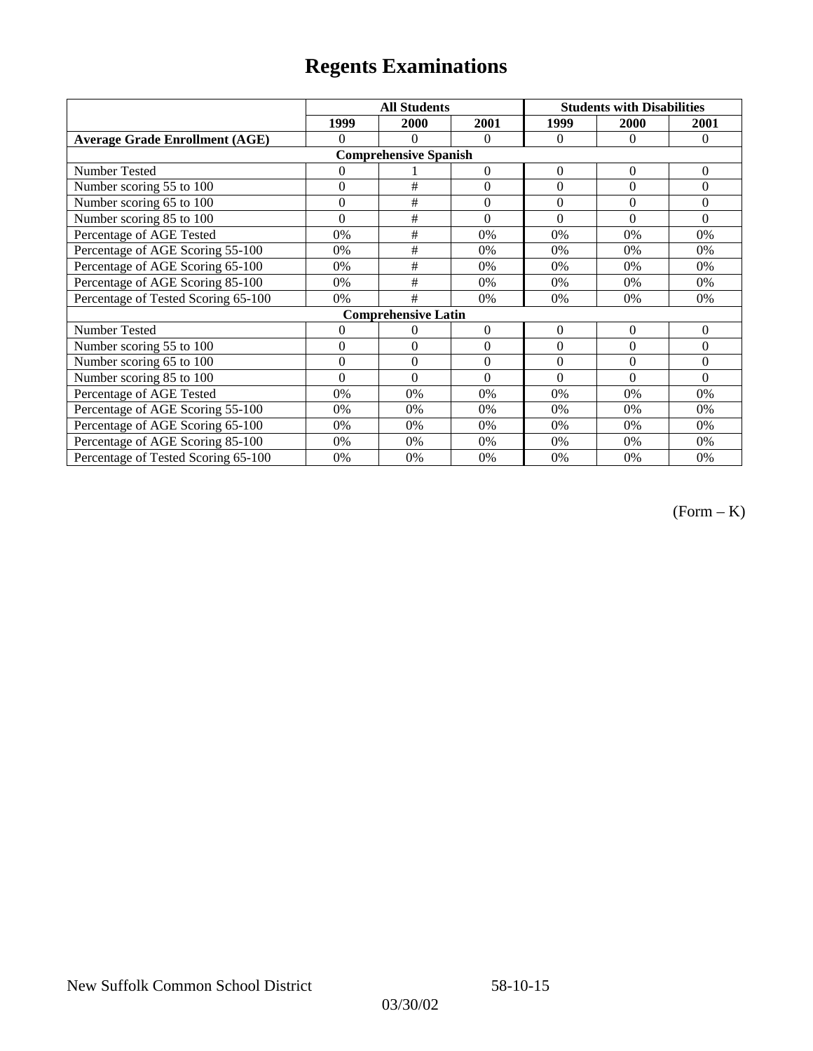|                                       | <b>All Students</b> |                            |                  | <b>Students with Disabilities</b> |                |                |  |  |
|---------------------------------------|---------------------|----------------------------|------------------|-----------------------------------|----------------|----------------|--|--|
|                                       | 1999                | 2000                       | 2001             | 1999                              | 2000           | 2001           |  |  |
| <b>Average Grade Enrollment (AGE)</b> | $\Omega$            | $\Omega$                   | $\Omega$         | $\Omega$                          | $\Omega$       | $\Omega$       |  |  |
| <b>Comprehensive Spanish</b>          |                     |                            |                  |                                   |                |                |  |  |
| Number Tested                         | $\theta$            |                            | $\theta$         | $\mathbf{0}$                      | $\theta$       | $\theta$       |  |  |
| Number scoring 55 to 100              | $\mathbf{0}$        | $\#$                       | $\boldsymbol{0}$ | $\mathbf{0}$                      | $\overline{0}$ | $\overline{0}$ |  |  |
| Number scoring 65 to 100              | $\mathbf{0}$        | #                          | $\mathbf{0}$     | $\Omega$                          | $\theta$       | $\theta$       |  |  |
| Number scoring 85 to 100              | $\theta$            | #                          | $\theta$         | $\theta$                          | $\theta$       | $\theta$       |  |  |
| Percentage of AGE Tested              | 0%                  | #                          | 0%               | 0%                                | 0%             | 0%             |  |  |
| Percentage of AGE Scoring 55-100      | 0%                  | $\#$                       | 0%               | 0%                                | 0%             | 0%             |  |  |
| Percentage of AGE Scoring 65-100      | 0%                  | #                          | 0%               | 0%                                | 0%             | 0%             |  |  |
| Percentage of AGE Scoring 85-100      | 0%                  | #                          | 0%               | 0%                                | 0%             | 0%             |  |  |
| Percentage of Tested Scoring 65-100   | 0%                  | #                          | 0%               | 0%                                | 0%             | 0%             |  |  |
|                                       |                     | <b>Comprehensive Latin</b> |                  |                                   |                |                |  |  |
| Number Tested                         | 0                   | $\theta$                   | $\overline{0}$   | $\Omega$                          | $\theta$       | $\overline{0}$ |  |  |
| Number scoring 55 to 100              | $\overline{0}$      | $\theta$                   | $\theta$         | $\Omega$                          | $\theta$       | $\theta$       |  |  |
| Number scoring $65$ to $100$          | $\mathbf{0}$        | $\theta$                   | $\theta$         | $\Omega$                          | $\theta$       | $\theta$       |  |  |
| Number scoring 85 to 100              | $\theta$            | $\theta$                   | $\Omega$         | $\Omega$                          | $\Omega$       | $\Omega$       |  |  |
| Percentage of AGE Tested              | 0%                  | 0%                         | 0%               | 0%                                | 0%             | 0%             |  |  |
| Percentage of AGE Scoring 55-100      | 0%                  | 0%                         | 0%               | 0%                                | 0%             | 0%             |  |  |
| Percentage of AGE Scoring 65-100      | 0%                  | 0%                         | 0%               | 0%                                | 0%             | 0%             |  |  |
| Percentage of AGE Scoring 85-100      | 0%                  | 0%                         | 0%               | 0%                                | 0%             | 0%             |  |  |
| Percentage of Tested Scoring 65-100   | 0%                  | 0%                         | 0%               | 0%                                | 0%             | 0%             |  |  |

(Form – K)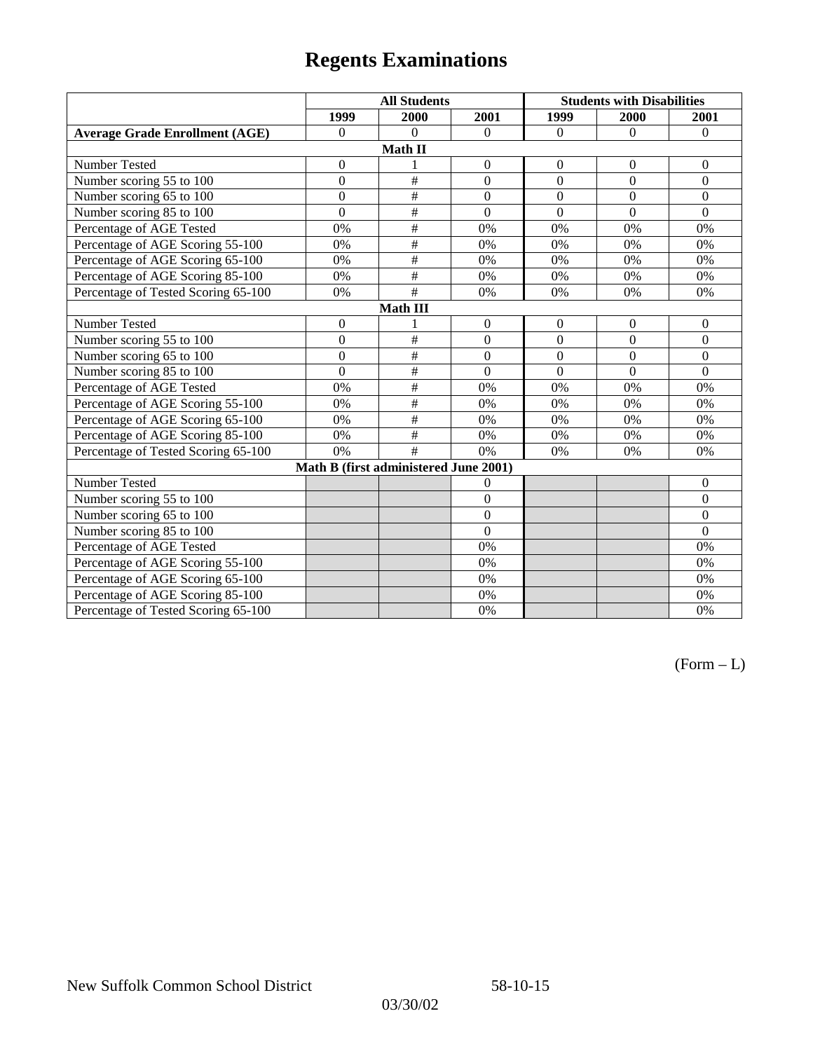|                                       | <b>All Students</b> |                                       | <b>Students with Disabilities</b> |                  |                  |                  |  |
|---------------------------------------|---------------------|---------------------------------------|-----------------------------------|------------------|------------------|------------------|--|
|                                       | 1999                | 2000                                  | 2001                              | 1999             | 2000             | 2001             |  |
| <b>Average Grade Enrollment (AGE)</b> | $\boldsymbol{0}$    | $\theta$                              | $\Omega$                          | $\Omega$         | $\Omega$         | $\Omega$         |  |
|                                       |                     | Math II                               |                                   |                  |                  |                  |  |
| Number Tested                         | $\boldsymbol{0}$    | 1                                     | $\boldsymbol{0}$                  | $\boldsymbol{0}$ | $\mathbf{0}$     | $\boldsymbol{0}$ |  |
| Number scoring 55 to 100              | $\overline{0}$      | $\#$                                  | $\overline{0}$                    | $\overline{0}$   | $\boldsymbol{0}$ | $\boldsymbol{0}$ |  |
| Number scoring 65 to 100              | $\overline{0}$      | $\#$                                  | $\overline{0}$                    | $\overline{0}$   | $\overline{0}$   | $\theta$         |  |
| Number scoring 85 to 100              | $\overline{0}$      | $\#$                                  | $\overline{0}$                    | $\overline{0}$   | $\overline{0}$   | $\overline{0}$   |  |
| Percentage of AGE Tested              | 0%                  | $\#$                                  | 0%                                | 0%               | 0%               | 0%               |  |
| Percentage of AGE Scoring 55-100      | 0%                  | $\#$                                  | 0%                                | 0%               | 0%               | 0%               |  |
| Percentage of AGE Scoring 65-100      | 0%                  | $\#$                                  | 0%                                | 0%               | 0%               | 0%               |  |
| Percentage of AGE Scoring 85-100      | 0%                  | #                                     | 0%                                | 0%               | 0%               | 0%               |  |
| Percentage of Tested Scoring 65-100   | 0%                  | #                                     | 0%                                | 0%               | 0%               | 0%               |  |
| <b>Math III</b>                       |                     |                                       |                                   |                  |                  |                  |  |
| <b>Number Tested</b>                  | $\boldsymbol{0}$    |                                       | $\boldsymbol{0}$                  | $\boldsymbol{0}$ | $\boldsymbol{0}$ | $\overline{0}$   |  |
| Number scoring 55 to 100              | $\overline{0}$      | #                                     | $\overline{0}$                    | $\mathbf{0}$     | $\mathbf{0}$     | $\mathbf{0}$     |  |
| Number scoring 65 to 100              | $\overline{0}$      | #                                     | $\theta$                          | $\theta$         | $\mathbf{0}$     | $\overline{0}$   |  |
| Number scoring 85 to 100              | $\overline{0}$      | #                                     | $\overline{0}$                    | $\overline{0}$   | $\mathbf{0}$     | $\theta$         |  |
| Percentage of AGE Tested              | 0%                  | $\#$                                  | 0%                                | 0%               | 0%               | 0%               |  |
| Percentage of AGE Scoring 55-100      | 0%                  | #                                     | 0%                                | 0%               | 0%               | 0%               |  |
| Percentage of AGE Scoring 65-100      | 0%                  | #                                     | 0%                                | 0%               | 0%               | 0%               |  |
| Percentage of AGE Scoring 85-100      | 0%                  | #                                     | 0%                                | 0%               | 0%               | 0%               |  |
| Percentage of Tested Scoring 65-100   | 0%                  | #                                     | 0%                                | 0%               | 0%               | 0%               |  |
|                                       |                     | Math B (first administered June 2001) |                                   |                  |                  |                  |  |
| Number Tested                         |                     |                                       | $\theta$                          |                  |                  | $\mathbf{0}$     |  |
| Number scoring 55 to 100              |                     |                                       | $\overline{0}$                    |                  |                  | $\overline{0}$   |  |
| Number scoring 65 to 100              |                     |                                       | $\theta$                          |                  |                  | $\overline{0}$   |  |
| Number scoring 85 to 100              |                     |                                       | $\overline{0}$                    |                  |                  | $\overline{0}$   |  |
| Percentage of AGE Tested              |                     |                                       | 0%                                |                  |                  | 0%               |  |
| Percentage of AGE Scoring 55-100      |                     |                                       | 0%                                |                  |                  | 0%               |  |
| Percentage of AGE Scoring 65-100      |                     |                                       | 0%                                |                  |                  | 0%               |  |
| Percentage of AGE Scoring 85-100      |                     |                                       | 0%                                |                  |                  | 0%               |  |
| Percentage of Tested Scoring 65-100   |                     |                                       | 0%                                |                  |                  | 0%               |  |

 $(Form - L)$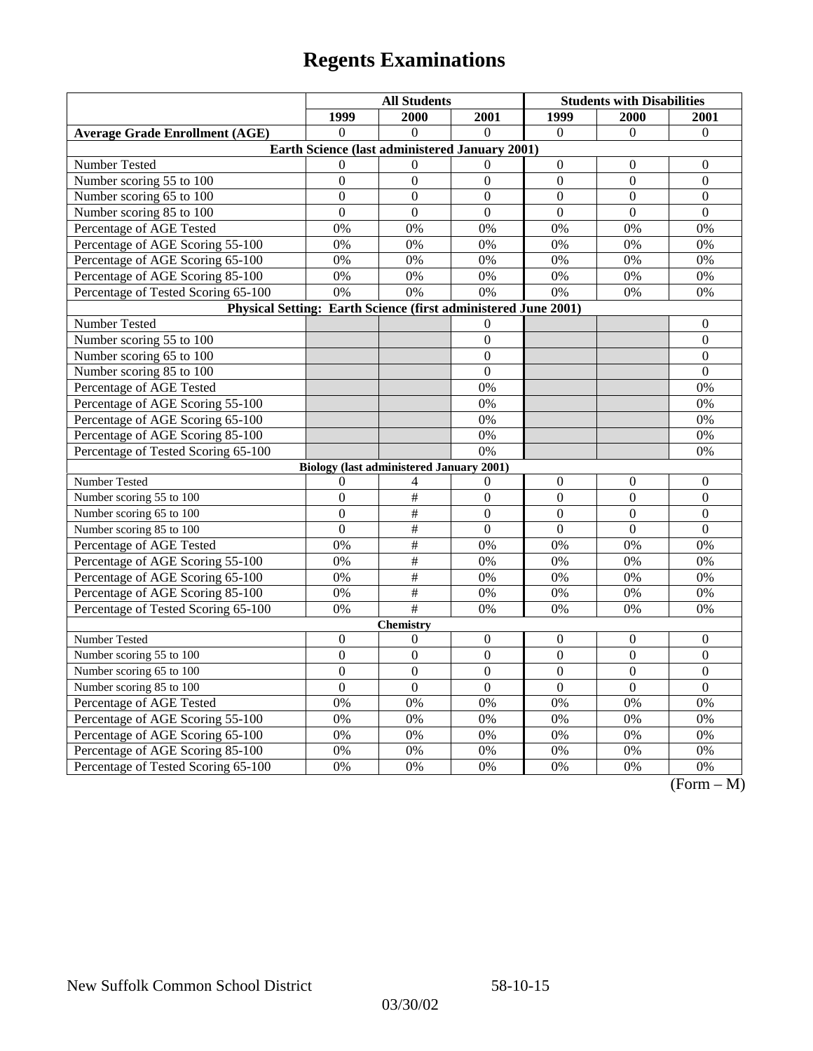|                                                                | <b>All Students</b>                             |                  |                  | <b>Students with Disabilities</b> |                  |                                   |
|----------------------------------------------------------------|-------------------------------------------------|------------------|------------------|-----------------------------------|------------------|-----------------------------------|
|                                                                | 1999                                            | 2000             | 2001             | 1999                              | 2000             | 2001                              |
| <b>Average Grade Enrollment (AGE)</b>                          | $\Omega$                                        | $\theta$         | $\Omega$         | $\Omega$                          | $\Omega$         | $\mathbf{0}$                      |
|                                                                | Earth Science (last administered January 2001)  |                  |                  |                                   |                  |                                   |
| Number Tested                                                  | $\theta$                                        | $\Omega$         | $\Omega$         | $\boldsymbol{0}$                  | 0                | 0                                 |
| Number scoring 55 to 100                                       | $\theta$                                        | $\Omega$         | $\overline{0}$   | $\overline{0}$                    | $\overline{0}$   | $\overline{0}$                    |
| Number scoring 65 to 100                                       | $\theta$                                        | $\Omega$         | $\Omega$         | $\theta$                          | $\theta$         | $\theta$                          |
| Number scoring 85 to 100                                       | $\overline{0}$                                  | $\overline{0}$   | $\overline{0}$   | $\overline{0}$                    | $\overline{0}$   | $\overline{0}$                    |
| Percentage of AGE Tested                                       | 0%                                              | 0%               | 0%               | 0%                                | 0%               | 0%                                |
| Percentage of AGE Scoring 55-100                               | 0%                                              | 0%               | 0%               | 0%                                | 0%               | 0%                                |
| Percentage of AGE Scoring 65-100                               | 0%                                              | 0%               | 0%               | 0%                                | 0%               | 0%                                |
| Percentage of AGE Scoring 85-100                               | 0%                                              | 0%               | 0%               | 0%                                | 0%               | 0%                                |
| Percentage of Tested Scoring 65-100                            | 0%                                              | 0%               | 0%               | 0%                                | 0%               | 0%                                |
| Physical Setting: Earth Science (first administered June 2001) |                                                 |                  |                  |                                   |                  |                                   |
| Number Tested                                                  |                                                 |                  | $\mathbf{0}$     |                                   |                  | $\boldsymbol{0}$                  |
| Number scoring 55 to 100                                       |                                                 |                  | $\overline{0}$   |                                   |                  | $\overline{0}$                    |
| Number scoring 65 to 100                                       |                                                 |                  | $\mathbf{0}$     |                                   |                  | $\mathbf{0}$                      |
| Number scoring 85 to 100                                       |                                                 |                  | $\overline{0}$   |                                   |                  | $\overline{0}$                    |
| Percentage of AGE Tested                                       |                                                 |                  | 0%               |                                   |                  | 0%                                |
| Percentage of AGE Scoring 55-100                               |                                                 |                  | 0%               |                                   |                  | 0%                                |
| Percentage of AGE Scoring 65-100                               |                                                 |                  | 0%               |                                   |                  | 0%                                |
| Percentage of AGE Scoring 85-100                               |                                                 |                  | 0%               |                                   |                  | 0%                                |
| Percentage of Tested Scoring 65-100                            |                                                 |                  | 0%               |                                   |                  | 0%                                |
|                                                                | <b>Biology (last administered January 2001)</b> |                  |                  |                                   |                  |                                   |
| Number Tested                                                  | $\theta$                                        | 4                | $\boldsymbol{0}$ | $\boldsymbol{0}$                  | $\boldsymbol{0}$ | $\boldsymbol{0}$                  |
| Number scoring 55 to 100                                       | $\mathbf{0}$                                    | $\overline{+}$   | $\mathbf{0}$     | $\overline{0}$                    | $\mathbf{0}$     | $\overline{0}$                    |
| Number scoring 65 to 100                                       | $\mathbf{0}$                                    | $\overline{+}$   | $\overline{0}$   | $\boldsymbol{0}$                  | $\overline{0}$   | $\overline{0}$                    |
| Number scoring 85 to 100                                       | $\boldsymbol{0}$                                | $\#$             | $\overline{0}$   | $\overline{0}$                    | $\boldsymbol{0}$ | $\boldsymbol{0}$                  |
| Percentage of AGE Tested                                       | 0%                                              | $\#$             | 0%               | 0%                                | 0%               | 0%                                |
| Percentage of AGE Scoring 55-100                               | 0%                                              | #                | 0%               | 0%                                | $\overline{0\%}$ | 0%                                |
| Percentage of AGE Scoring 65-100                               | 0%                                              | $\#$             | 0%               | 0%                                | 0%               | 0%                                |
| Percentage of AGE Scoring 85-100                               | 0%                                              | $\frac{1}{2}$    | 0%               | 0%                                | 0%               | 0%                                |
| Percentage of Tested Scoring 65-100                            | 0%                                              | #                | 0%               | 0%                                | 0%               | 0%                                |
|                                                                |                                                 | <b>Chemistry</b> |                  |                                   |                  |                                   |
| Number Tested                                                  | $\boldsymbol{0}$                                | $\Omega$         | $\boldsymbol{0}$ | $\theta$                          | $\theta$         | $\theta$                          |
| Number scoring 55 to 100                                       | $\Omega$                                        | $\Omega$         | $\overline{0}$   | $\overline{0}$                    | $\overline{0}$   | $\Omega$                          |
| Number scoring 65 to 100                                       | $\overline{0}$                                  | $\mathbf{0}$     | $\overline{0}$   | $\overline{0}$                    | $\mathbf{0}$     | $\mathbf{0}$                      |
| Number scoring 85 to 100                                       | $\overline{0}$                                  | $\overline{0}$   | $\overline{0}$   | $\overline{0}$                    | $\overline{0}$   | $\overline{0}$                    |
| Percentage of AGE Tested                                       | 0%                                              | 0%               | 0%               | 0%                                | 0%               | 0%                                |
| Percentage of AGE Scoring 55-100                               | 0%                                              | 0%               | 0%               | 0%                                | 0%               | 0%                                |
| Percentage of AGE Scoring 65-100                               | 0%                                              | 0%               | 0%               | 0%                                | 0%               | 0%                                |
| Percentage of AGE Scoring 85-100                               | 0%                                              | 0%               | 0%               | 0%                                | 0%               | 0%                                |
| Percentage of Tested Scoring 65-100                            | 0%                                              | 0%               | 0%               | 0%                                | 0%               | 0%<br>$\sqrt{12}$<br>$\mathbf{A}$ |

(Form – M)